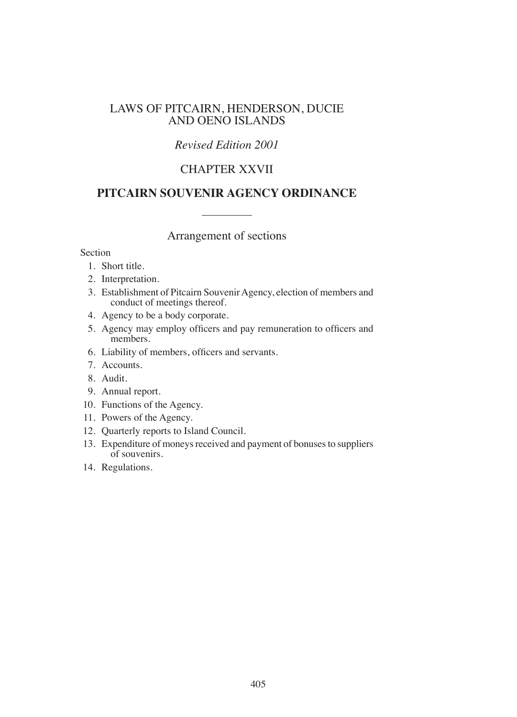## LAWS OF PITCAIRN, HENDERSON, DUCIE AND OENO ISLANDS

## *Revised Edition 2001*

## CHAPTER XXVII

## **PITCAIRN SOUVENIR AGENCY ORDINANCE**

Arrangement of sections

Section

- 1. Short title.
- 2. Interpretation.
- 3. Establishment of Pitcairn Souvenir Agency, election of members and conduct of meetings thereof.
- 4. Agency to be a body corporate.
- 5. Agency may employ oficers and pay remuneration to oficers and members.
- 6. Liability of members, oficers and servants.
- 7. Accounts.
- 8. Audit.
- 9. Annual report.
- 10. Functions of the Agency.
- 11. Powers of the Agency.
- 12. Quarterly reports to Island Council.
- 13. Expenditure of moneys received and payment of bonuses to suppliers of souvenirs.
- 14. Regulations.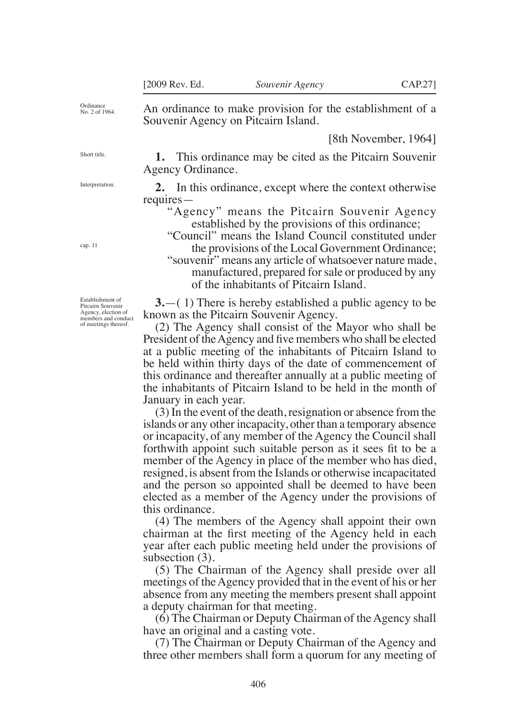An ordinance to make provision for the establishment of a

Souvenir Agency on Pitcairn Island.

[8th November, 1964]

Ordinance No. 2 of 1964.

Short title.

Interpretation.

cap. 11

**1.** This ordinance may be cited as the Pitcairn Souvenir Agency Ordinance.

**2.** In this ordinance, except where the context otherwise requires—

"Agency" means the Pitcairn Souvenir Agency established by the provisions of this ordinance;

"Council" means the Island Council constituted under the provisions of the Local Government Ordinance;

"souvenir" means any article of whatsoever nature made, manufactured, prepared for sale or produced by any of the inhabitants of Pitcairn Island.

**3.**—( 1) There is hereby established a public agency to be known as the Pitcairn Souvenir Agency.

(2) The Agency shall consist of the Mayor who shall be President of the Agency and five members who shall be elected at a public meeting of the inhabitants of Pitcairn Island to be held within thirty days of the date of commencement of this ordinance and thereafter annually at a public meeting of the inhabitants of Pitcairn Island to be held in the month of January in each year.

(3) In the event of the death, resignation or absence from the islands or any other incapacity, other than a temporary absence or incapacity, of any member of the Agency the Council shall forthwith appoint such suitable person as it sees fit to be a member of the Agency in place of the member who has died, resigned, is absent from the Islands or otherwise incapacitated and the person so appointed shall be deemed to have been elected as a member of the Agency under the provisions of this ordinance.

(4) The members of the Agency shall appoint their own chairman at the first meeting of the Agency held in each year after each public meeting held under the provisions of subsection  $(3)$ .

(5) The Chairman of the Agency shall preside over all meetings of the Agency provided that in the event of his or her absence from any meeting the members present shall appoint a deputy chairman for that meeting.

(6) The Chairman or Deputy Chairman of the Agency shall have an original and a casting vote.

(7) The Chairman or Deputy Chairman of the Agency and three other members shall form a quorum for any meeting of

Establishment of Pitcairn Souvenir Agency, election of members and conduct of meetings thereof.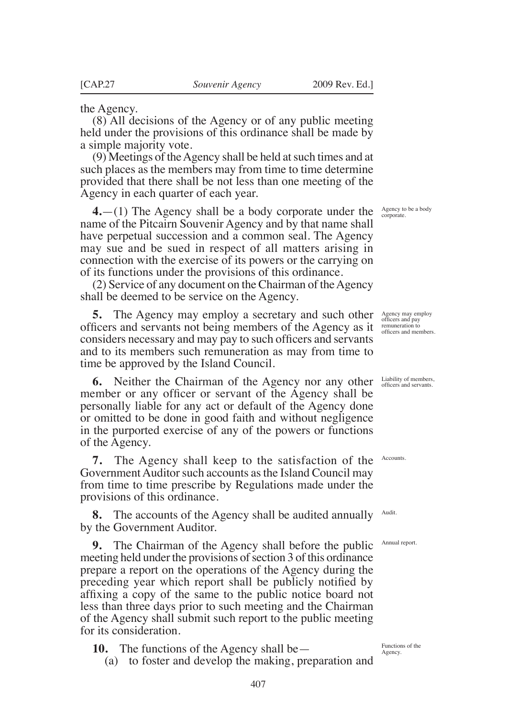the Agency.

(8) All decisions of the Agency or of any public meeting held under the provisions of this ordinance shall be made by a simple majority vote.

(9) Meetings of the Agency shall be held at such times and at such places as the members may from time to time determine provided that there shall be not less than one meeting of the Agency in each quarter of each year.

 $4.$ —(1) The Agency shall be a body corporate under the  $\frac{A_{\text{gency to be a body}}}{\text{conparate.}}$ name of the Pitcairn Souvenir Agency and by that name shall have perpetual succession and a common seal. The Agency may sue and be sued in respect of all matters arising in connection with the exercise of its powers or the carrying on of its functions under the provisions of this ordinance.

(2) Service of any document on the Chairman of the Agency shall be deemed to be service on the Agency.

5. The Agency may employ a secretary and such other Agency may employ oficers and servants not being members of the Agency as it considers necessary and may pay to such oficers and servants and to its members such remuneration as may from time to time be approved by the Island Council.

**6.** Neither the Chairman of the Agency nor any other member or any oficer or servant of the Agency shall be personally liable for any act or default of the Agency done or omitted to be done in good faith and without negligence in the purported exercise of any of the powers or functions of the Agency.

**7.** The Agency shall keep to the satisfaction of the Government Auditor such accounts as the Island Council may from time to time prescribe by Regulations made under the provisions of this ordinance.

**8.** The accounts of the Agency shall be audited annually by the Government Auditor.

**9.** The Chairman of the Agency shall before the public meeting held under the provisions of section 3 of this ordinance prepare a report on the operations of the Agency during the preceding year which report shall be publicly notified by afixing a copy of the same to the public notice board not less than three days prior to such meeting and the Chairman of the Agency shall submit such report to the public meeting for its consideration.

**10.** The functions of the Agency shall be—

(a) to foster and develop the making, preparation and

remuneration to oficers and members.

Liability of members, oficers and servants.

**Accounts** 

Audit.

Annual report.

Functions of the Agency.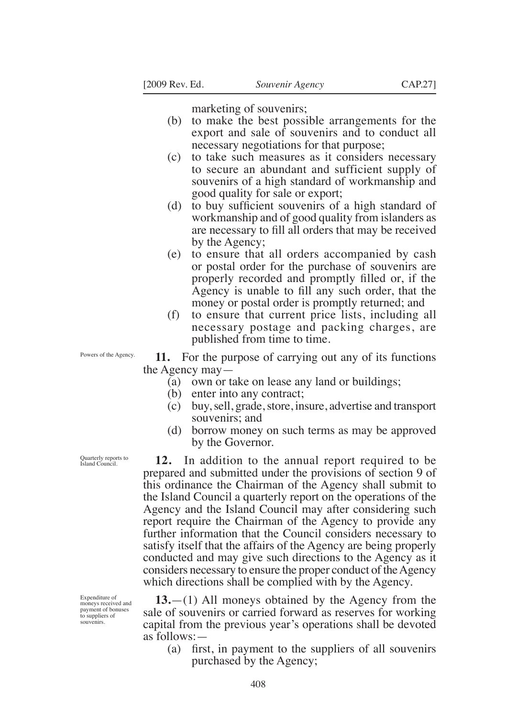marketing of souvenirs;

- (b) to make the best possible arrangements for the export and sale of souvenirs and to conduct all necessary negotiations for that purpose;
- (c) to take such measures as it considers necessary to secure an abundant and sufficient supply of souvenirs of a high standard of workmanship and good quality for sale or export;
- (d) to buy suficient souvenirs of a high standard of workmanship and of good quality from islanders as are necessary to fill all orders that may be received by the Agency;
- (e) to ensure that all orders accompanied by cash or postal order for the purchase of souvenirs are properly recorded and promptly filled or, if the Agency is unable to fill any such order, that the money or postal order is promptly returned; and
- (f) to ensure that current price lists, including all necessary postage and packing charges, are published from time to time.

Powers of the Agency.

**11.** For the purpose of carrying out any of its functions the Agency may—

- (a) own or take on lease any land or buildings;
- (b) enter into any contract;
- (c) buy, sell, grade, store, insure, advertise and transport souvenirs; and
- (d) borrow money on such terms as may be approved by the Governor.

**12.** In addition to the annual report required to be prepared and submitted under the provisions of section 9 of this ordinance the Chairman of the Agency shall submit to the Island Council a quarterly report on the operations of the Agency and the Island Council may after considering such report require the Chairman of the Agency to provide any further information that the Council considers necessary to satisfy itself that the affairs of the Agency are being properly conducted and may give such directions to the Agency as it considers necessary to ensure the proper conduct of the Agency which directions shall be complied with by the Agency.

**13.**—(1) All moneys obtained by the Agency from the sale of souvenirs or carried forward as reserves for working capital from the previous year's operations shall be devoted as follows:—

(a) first, in payment to the suppliers of all souvenirs purchased by the Agency;

Quarterly reports to Island Council.

Expenditure of moneys received and payment of bonuses to suppliers of souvenirs.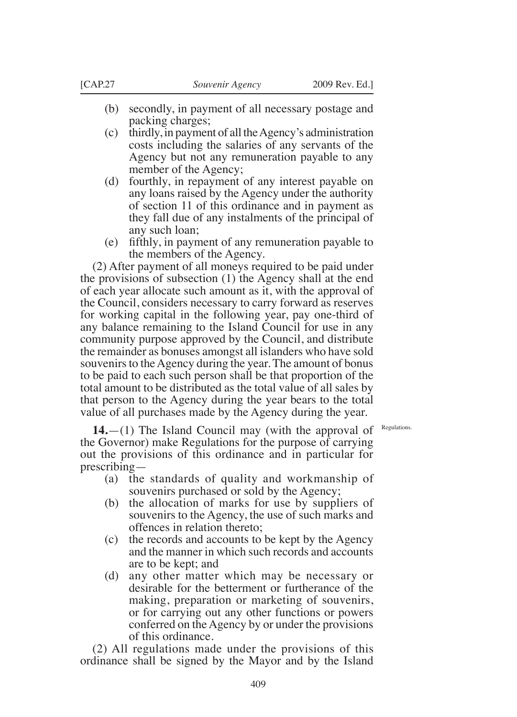- (b) secondly, in payment of all necessary postage and packing charges;
- (c) thirdly, in payment of all the Agency's administration costs including the salaries of any servants of the Agency but not any remuneration payable to any member of the Agency;
- (d) fourthly, in repayment of any interest payable on any loans raised by the Agency under the authority of section 11 of this ordinance and in payment as they fall due of any instalments of the principal of any such loan;
- (e) ifthly, in payment of any remuneration payable to the members of the Agency.

(2) After payment of all moneys required to be paid under the provisions of subsection (1) the Agency shall at the end of each year allocate such amount as it, with the approval of the Council, considers necessary to carry forward as reserves for working capital in the following year, pay one-third of any balance remaining to the Island Council for use in any community purpose approved by the Council, and distribute the remainder as bonuses amongst all islanders who have sold souvenirs to the Agency during the year. The amount of bonus to be paid to each such person shall be that proportion of the total amount to be distributed as the total value of all sales by that person to the Agency during the year bears to the total value of all purchases made by the Agency during the year.

Regulations.

**14.**—(1) The Island Council may (with the approval of the Governor) make Regulations for the purpose of carrying out the provisions of this ordinance and in particular for prescribing—

- (a) the standards of quality and workmanship of souvenirs purchased or sold by the Agency;
- (b) the allocation of marks for use by suppliers of souvenirs to the Agency, the use of such marks and offences in relation thereto;
- (c) the records and accounts to be kept by the Agency and the manner in which such records and accounts are to be kept; and
- (d) any other matter which may be necessary or desirable for the betterment or furtherance of the making, preparation or marketing of souvenirs, or for carrying out any other functions or powers conferred on the Agency by or under the provisions of this ordinance.

(2) All regulations made under the provisions of this ordinance shall be signed by the Mayor and by the Island